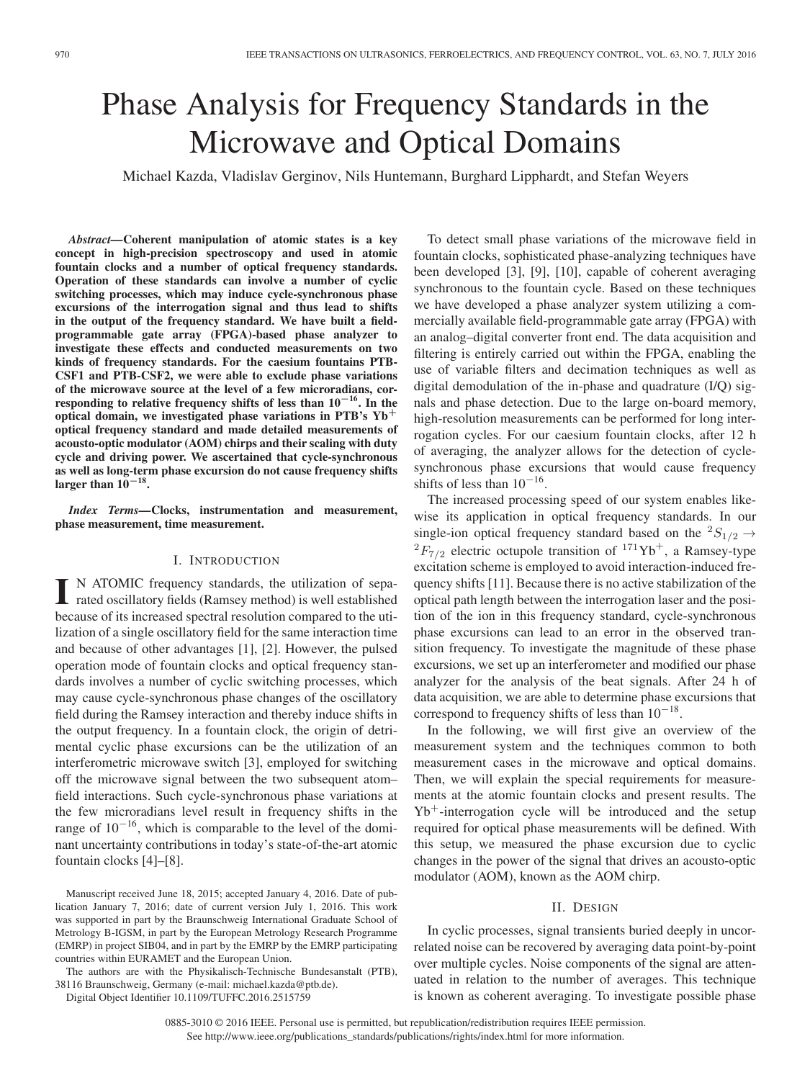# Phase Analysis for Frequency Standards in the Microwave and Optical Domains

Michael Kazda, Vladislav Gerginov, Nils Huntemann, Burghard Lipphardt, and Stefan Weyers

*Abstract—***Coherent manipulation of atomic states is a key concept in high-precision spectroscopy and used in atomic fountain clocks and a number of optical frequency standards. Operation of these standards can involve a number of cyclic switching processes, which may induce cycle-synchronous phase excursions of the interrogation signal and thus lead to shifts in the output of the frequency standard. We have built a fieldprogrammable gate array (FPGA)-based phase analyzer to investigate these effects and conducted measurements on two kinds of frequency standards. For the caesium fountains PTB-CSF1 and PTB-CSF2, we were able to exclude phase variations of the microwave source at the level of a few microradians, corresponding to relative frequency shifts of less than 10***−***16. In the optical domain, we investigated phase variations in PTB's Yb<sup>+</sup> optical frequency standard and made detailed measurements of acousto-optic modulator (AOM) chirps and their scaling with duty cycle and driving power. We ascertained that cycle-synchronous as well as long-term phase excursion do not cause frequency shifts** larger than  $10^{-18}$ .

*Index Terms—***Clocks, instrumentation and measurement, phase measurement, time measurement.**

## I. INTRODUCTION

**I** N ATOMIC frequency standards, the utilization of separated oscillatory fields (Ramsey method) is well established because of its increased spectral resolution compared to the utilization of a single oscillatory field for the same interaction time and because of other advantages [1], [2]. However, the pulsed operation mode of fountain clocks and optical frequency standards involves a number of cyclic switching processes, which may cause cycle-synchronous phase changes of the oscillatory field during the Ramsey interaction and thereby induce shifts in the output frequency. In a fountain clock, the origin of detrimental cyclic phase excursions can be the utilization of an interferometric microwave switch [3], employed for switching off the microwave signal between the two subsequent atom– field interactions. Such cycle-synchronous phase variations at the few microradians level result in frequency shifts in the range of 10*−*16, which is comparable to the level of the dominant uncertainty contributions in today's state-of-the-art atomic fountain clocks [4]–[8].

The authors are with the Physikalisch-Technische Bundesanstalt (PTB), 38116 Braunschweig, Germany (e-mail: michael.kazda@ptb.de).

Digital Object Identifier 10.1109/TUFFC.2016.2515759

To detect small phase variations of the microwave field in fountain clocks, sophisticated phase-analyzing techniques have been developed [3], [9], [10], capable of coherent averaging synchronous to the fountain cycle. Based on these techniques we have developed a phase analyzer system utilizing a commercially available field-programmable gate array (FPGA) with an analog–digital converter front end. The data acquisition and filtering is entirely carried out within the FPGA, enabling the use of variable filters and decimation techniques as well as digital demodulation of the in-phase and quadrature (I/Q) signals and phase detection. Due to the large on-board memory, high-resolution measurements can be performed for long interrogation cycles. For our caesium fountain clocks, after 12 h of averaging, the analyzer allows for the detection of cyclesynchronous phase excursions that would cause frequency shifts of less than 10*−*16.

The increased processing speed of our system enables likewise its application in optical frequency standards. In our single-ion optical frequency standard based on the  ${}^2S_{1/2}$   $\rightarrow$  ${}^{2}F_{7/2}$  electric octupole transition of  ${}^{171}\text{Yb}^+$ , a Ramsey-type excitation scheme is employed to avoid interaction-induced frequency shifts [11]. Because there is no active stabilization of the optical path length between the interrogation laser and the position of the ion in this frequency standard, cycle-synchronous phase excursions can lead to an error in the observed transition frequency. To investigate the magnitude of these phase excursions, we set up an interferometer and modified our phase analyzer for the analysis of the beat signals. After 24 h of data acquisition, we are able to determine phase excursions that correspond to frequency shifts of less than 10*−*18.

In the following, we will first give an overview of the measurement system and the techniques common to both measurement cases in the microwave and optical domains. Then, we will explain the special requirements for measurements at the atomic fountain clocks and present results. The  $Yb^+$ -interrogation cycle will be introduced and the setup required for optical phase measurements will be defined. With this setup, we measured the phase excursion due to cyclic changes in the power of the signal that drives an acousto-optic modulator (AOM), known as the AOM chirp.

# II. DESIGN

In cyclic processes, signal transients buried deeply in uncorrelated noise can be recovered by averaging data point-by-point over multiple cycles. Noise components of the signal are attenuated in relation to the number of averages. This technique is known as coherent averaging. To investigate possible phase

0885-3010 © 2016 IEEE. Personal use is permitted, but republication/redistribution requires IEEE permission. See http://www.ieee.org/publications\_standards/publications/rights/index.html for more information.

Manuscript received June 18, 2015; accepted January 4, 2016. Date of publication January 7, 2016; date of current version July 1, 2016. This work was supported in part by the Braunschweig International Graduate School of Metrology B-IGSM, in part by the European Metrology Research Programme (EMRP) in project SIB04, and in part by the EMRP by the EMRP participating countries within EURAMET and the European Union.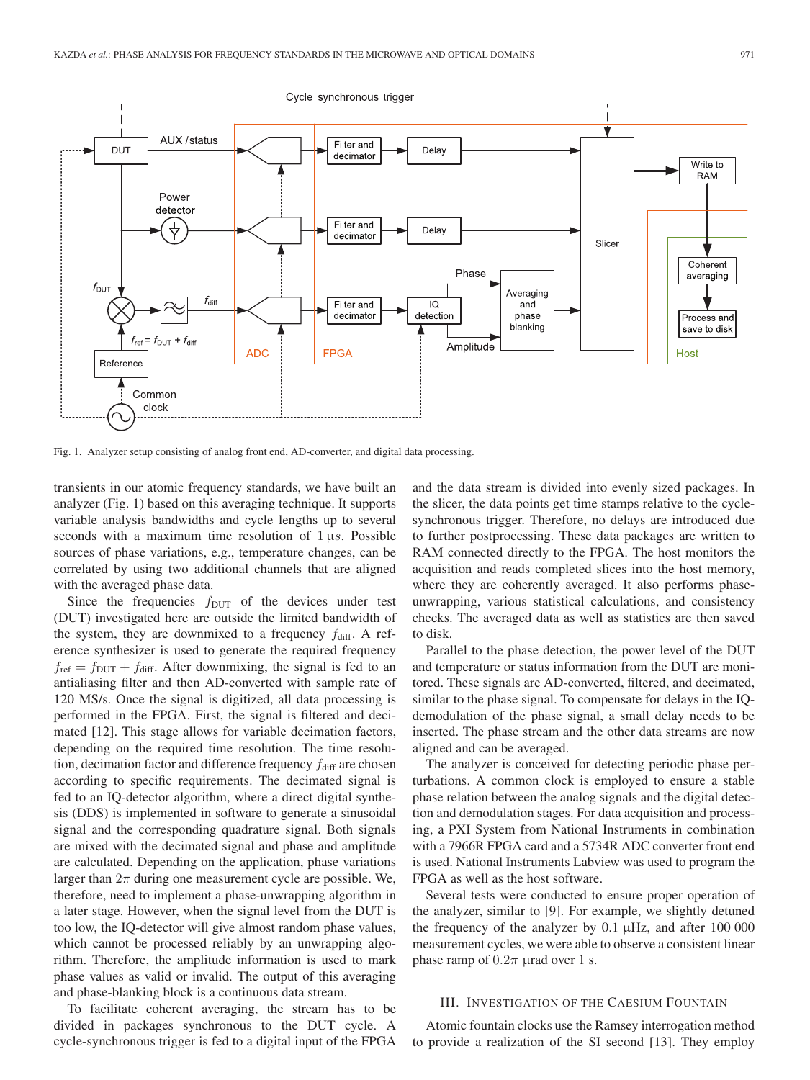

Fig. 1. Analyzer setup consisting of analog front end, AD-converter, and digital data processing.

transients in our atomic frequency standards, we have built an analyzer (Fig. 1) based on this averaging technique. It supports variable analysis bandwidths and cycle lengths up to several seconds with a maximum time resolution of  $1 \mu s$ . Possible sources of phase variations, e.g., temperature changes, can be correlated by using two additional channels that are aligned with the averaged phase data.

Since the frequencies  $f_{\text{DUT}}$  of the devices under test (DUT) investigated here are outside the limited bandwidth of the system, they are downmixed to a frequency  $f_{\text{diff}}$ . A reference synthesizer is used to generate the required frequency  $f_{\text{ref}} = f_{\text{DUT}} + f_{\text{diff}}$ . After downmixing, the signal is fed to an antialiasing filter and then AD-converted with sample rate of 120 MS/s. Once the signal is digitized, all data processing is performed in the FPGA. First, the signal is filtered and decimated [12]. This stage allows for variable decimation factors, depending on the required time resolution. The time resolution, decimation factor and difference frequency  $f_{\text{diff}}$  are chosen according to specific requirements. The decimated signal is fed to an IQ-detector algorithm, where a direct digital synthesis (DDS) is implemented in software to generate a sinusoidal signal and the corresponding quadrature signal. Both signals are mixed with the decimated signal and phase and amplitude are calculated. Depending on the application, phase variations larger than  $2\pi$  during one measurement cycle are possible. We, therefore, need to implement a phase-unwrapping algorithm in a later stage. However, when the signal level from the DUT is too low, the IQ-detector will give almost random phase values, which cannot be processed reliably by an unwrapping algorithm. Therefore, the amplitude information is used to mark phase values as valid or invalid. The output of this averaging and phase-blanking block is a continuous data stream.

To facilitate coherent averaging, the stream has to be divided in packages synchronous to the DUT cycle. A cycle-synchronous trigger is fed to a digital input of the FPGA and the data stream is divided into evenly sized packages. In the slicer, the data points get time stamps relative to the cyclesynchronous trigger. Therefore, no delays are introduced due to further postprocessing. These data packages are written to RAM connected directly to the FPGA. The host monitors the acquisition and reads completed slices into the host memory, where they are coherently averaged. It also performs phaseunwrapping, various statistical calculations, and consistency checks. The averaged data as well as statistics are then saved to disk.

Parallel to the phase detection, the power level of the DUT and temperature or status information from the DUT are monitored. These signals are AD-converted, filtered, and decimated, similar to the phase signal. To compensate for delays in the IQdemodulation of the phase signal, a small delay needs to be inserted. The phase stream and the other data streams are now aligned and can be averaged.

The analyzer is conceived for detecting periodic phase perturbations. A common clock is employed to ensure a stable phase relation between the analog signals and the digital detection and demodulation stages. For data acquisition and processing, a PXI System from National Instruments in combination with a 7966R FPGA card and a 5734R ADC converter front end is used. National Instruments Labview was used to program the FPGA as well as the host software.

Several tests were conducted to ensure proper operation of the analyzer, similar to [9]. For example, we slightly detuned the frequency of the analyzer by  $0.1 \mu$ Hz, and after  $100\,000$ measurement cycles, we were able to observe a consistent linear phase ramp of  $0.2\pi$  µrad over 1 s.

## III. INVESTIGATION OF THE CAESIUM FOUNTAIN

Atomic fountain clocks use the Ramsey interrogation method to provide a realization of the SI second [13]. They employ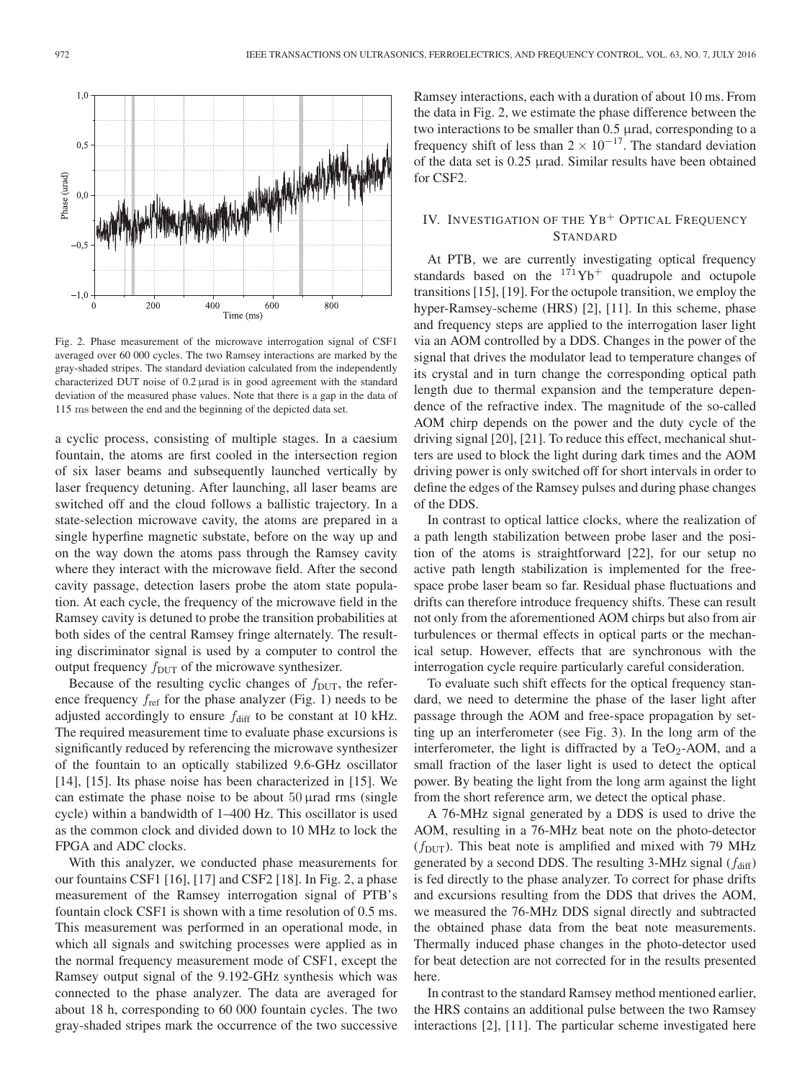

Fig. 2. Phase measurement of the microwave interrogation signal of CSF1 averaged over 60 000 cycles. The two Ramsey interactions are marked by the gray-shaded stripes. The standard deviation calculated from the independently characterized DUT noise of 0.2 µrad is in good agreement with the standard deviation of the measured phase values. Note that there is a gap in the data of 115 ms between the end and the beginning of the depicted data set.

a cyclic process, consisting of multiple stages. In a caesium fountain, the atoms are first cooled in the intersection region of six laser beams and subsequently launched vertically by laser frequency detuning. After launching, all laser beams are switched off and the cloud follows a ballistic trajectory. In a state-selection microwave cavity, the atoms are prepared in a single hyperfine magnetic substate, before on the way up and on the way down the atoms pass through the Ramsey cavity where they interact with the microwave field. After the second cavity passage, detection lasers probe the atom state population. At each cycle, the frequency of the microwave field in the Ramsey cavity is detuned to probe the transition probabilities at both sides of the central Ramsey fringe alternately. The resulting discriminator signal is used by a computer to control the output frequency  $f_{\text{DUT}}$  of the microwave synthesizer.

Because of the resulting cyclic changes of  $f_{\text{DUT}}$ , the reference frequency  $f_{ref}$  for the phase analyzer (Fig. 1) needs to be adjusted accordingly to ensure  $f_{\text{diff}}$  to be constant at 10 kHz. The required measurement time to evaluate phase excursions is significantly reduced by referencing the microwave synthesizer of the fountain to an optically stabilized 9.6-GHz oscillator [14], [15]. Its phase noise has been characterized in [15]. We can estimate the phase noise to be about  $50 \mu$ rad rms (single cycle) within a bandwidth of 1–400 Hz. This oscillator is used as the common clock and divided down to 10 MHz to lock the FPGA and ADC clocks.

With this analyzer, we conducted phase measurements for our fountains CSF1 [16], [17] and CSF2 [18]. In Fig. 2, a phase measurement of the Ramsey interrogation signal of PTB's fountain clock CSF1 is shown with a time resolution of 0.5 ms. This measurement was performed in an operational mode, in which all signals and switching processes were applied as in the normal frequency measurement mode of CSF1, except the Ramsey output signal of the 9.192-GHz synthesis which was connected to the phase analyzer. The data are averaged for about 18 h, corresponding to 60 000 fountain cycles. The two gray-shaded stripes mark the occurrence of the two successive Ramsey interactions, each with a duration of about 10 ms. From the data in Fig. 2, we estimate the phase difference between the two interactions to be smaller than 0.5 µrad, corresponding to a frequency shift of less than  $2 \times 10^{-17}$ . The standard deviation of the data set is 0.25 µrad. Similar results have been obtained for CSF2.

# IV. INVESTIGATION OF THE YB<sup>+</sup> OPTICAL FREQUENCY STANDARD

At PTB, we are currently investigating optical frequency standards based on the  $171\text{Yb}^+$  quadrupole and octupole transitions [15], [19]. For the octupole transition, we employ the hyper-Ramsey-scheme (HRS) [2], [11]. In this scheme, phase and frequency steps are applied to the interrogation laser light via an AOM controlled by a DDS. Changes in the power of the signal that drives the modulator lead to temperature changes of its crystal and in turn change the corresponding optical path length due to thermal expansion and the temperature dependence of the refractive index. The magnitude of the so-called AOM chirp depends on the power and the duty cycle of the driving signal [20], [21]. To reduce this effect, mechanical shutters are used to block the light during dark times and the AOM driving power is only switched off for short intervals in order to define the edges of the Ramsey pulses and during phase changes of the DDS.

In contrast to optical lattice clocks, where the realization of a path length stabilization between probe laser and the position of the atoms is straightforward [22], for our setup no active path length stabilization is implemented for the freespace probe laser beam so far. Residual phase fluctuations and drifts can therefore introduce frequency shifts. These can result not only from the aforementioned AOM chirps but also from air turbulences or thermal effects in optical parts or the mechanical setup. However, effects that are synchronous with the interrogation cycle require particularly careful consideration.

To evaluate such shift effects for the optical frequency standard, we need to determine the phase of the laser light after passage through the AOM and free-space propagation by setting up an interferometer (see Fig. 3). In the long arm of the interferometer, the light is diffracted by a TeO<sub>2</sub>-AOM, and a small fraction of the laser light is used to detect the optical power. By beating the light from the long arm against the light from the short reference arm, we detect the optical phase.

A 76-MHz signal generated by a DDS is used to drive the AOM, resulting in a 76-MHz beat note on the photo-detector  $(f_{\text{DUT}})$ . This beat note is amplified and mixed with 79 MHz generated by a second DDS. The resulting 3-MHz signal  $(f_{diff})$ is fed directly to the phase analyzer. To correct for phase drifts and excursions resulting from the DDS that drives the AOM, we measured the 76-MHz DDS signal directly and subtracted the obtained phase data from the beat note measurements. Thermally induced phase changes in the photo-detector used for beat detection are not corrected for in the results presented here.

In contrast to the standard Ramsey method mentioned earlier, the HRS contains an additional pulse between the two Ramsey interactions [2], [11]. The particular scheme investigated here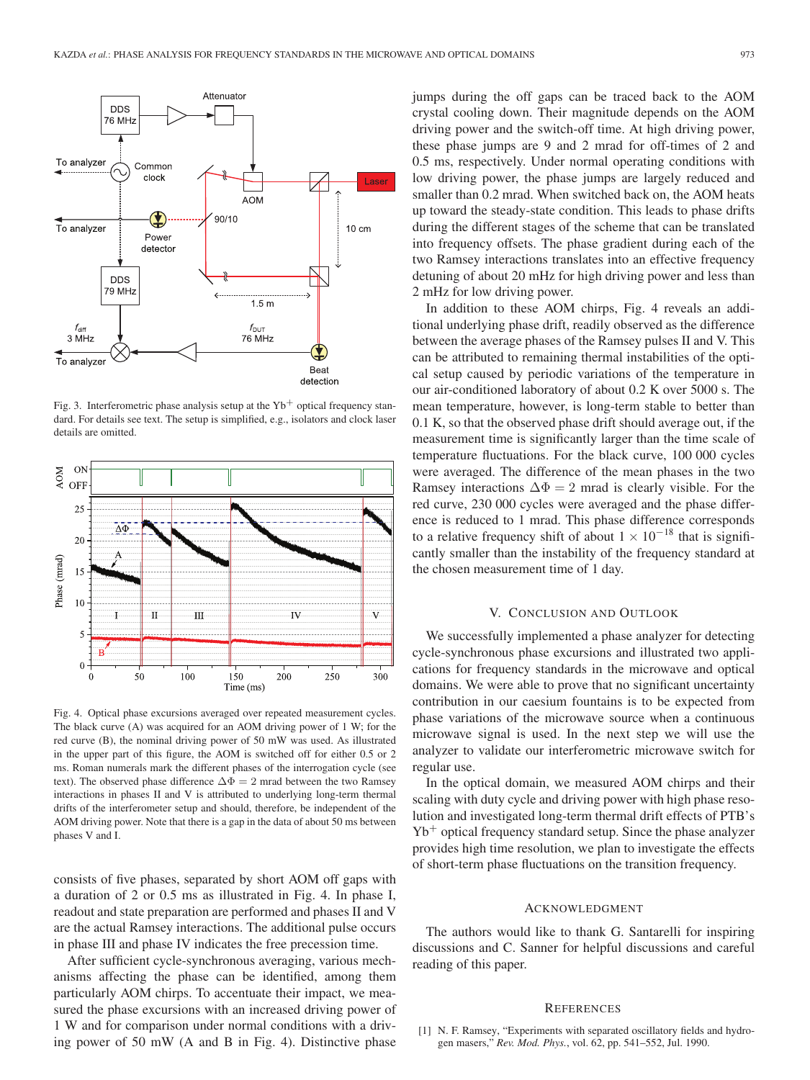

Fig. 3. Interferometric phase analysis setup at the  $Yb<sup>+</sup>$  optical frequency standard. For details see text. The setup is simplified, e.g., isolators and clock laser details are omitted.



Fig. 4. Optical phase excursions averaged over repeated measurement cycles. The black curve (A) was acquired for an AOM driving power of 1 W; for the red curve (B), the nominal driving power of 50 mW was used. As illustrated in the upper part of this figure, the AOM is switched off for either 0.5 or 2 ms. Roman numerals mark the different phases of the interrogation cycle (see text). The observed phase difference  $\Delta \Phi = 2$  mrad between the two Ramsey interactions in phases II and V is attributed to underlying long-term thermal drifts of the interferometer setup and should, therefore, be independent of the AOM driving power. Note that there is a gap in the data of about 50 ms between phases V and I.

consists of five phases, separated by short AOM off gaps with a duration of 2 or 0.5 ms as illustrated in Fig. 4. In phase I, readout and state preparation are performed and phases II and V are the actual Ramsey interactions. The additional pulse occurs in phase III and phase IV indicates the free precession time.

After sufficient cycle-synchronous averaging, various mechanisms affecting the phase can be identified, among them particularly AOM chirps. To accentuate their impact, we measured the phase excursions with an increased driving power of 1 W and for comparison under normal conditions with a driving power of 50 mW (A and B in Fig. 4). Distinctive phase jumps during the off gaps can be traced back to the AOM crystal cooling down. Their magnitude depends on the AOM driving power and the switch-off time. At high driving power, these phase jumps are 9 and 2 mrad for off-times of 2 and 0.5 ms, respectively. Under normal operating conditions with low driving power, the phase jumps are largely reduced and smaller than 0.2 mrad. When switched back on, the AOM heats up toward the steady-state condition. This leads to phase drifts during the different stages of the scheme that can be translated into frequency offsets. The phase gradient during each of the two Ramsey interactions translates into an effective frequency detuning of about 20 mHz for high driving power and less than 2 mHz for low driving power.

In addition to these AOM chirps, Fig. 4 reveals an additional underlying phase drift, readily observed as the difference between the average phases of the Ramsey pulses II and V. This can be attributed to remaining thermal instabilities of the optical setup caused by periodic variations of the temperature in our air-conditioned laboratory of about 0.2 K over 5000 s. The mean temperature, however, is long-term stable to better than 0.1 K, so that the observed phase drift should average out, if the measurement time is significantly larger than the time scale of temperature fluctuations. For the black curve, 100 000 cycles were averaged. The difference of the mean phases in the two Ramsey interactions  $\Delta \Phi = 2$  mrad is clearly visible. For the red curve, 230 000 cycles were averaged and the phase difference is reduced to 1 mrad. This phase difference corresponds to a relative frequency shift of about  $1 \times 10^{-18}$  that is significantly smaller than the instability of the frequency standard at the chosen measurement time of 1 day.

## V. CONCLUSION AND OUTLOOK

We successfully implemented a phase analyzer for detecting cycle-synchronous phase excursions and illustrated two applications for frequency standards in the microwave and optical domains. We were able to prove that no significant uncertainty contribution in our caesium fountains is to be expected from phase variations of the microwave source when a continuous microwave signal is used. In the next step we will use the analyzer to validate our interferometric microwave switch for regular use.

In the optical domain, we measured AOM chirps and their scaling with duty cycle and driving power with high phase resolution and investigated long-term thermal drift effects of PTB's  $Yb<sup>+</sup>$  optical frequency standard setup. Since the phase analyzer provides high time resolution, we plan to investigate the effects of short-term phase fluctuations on the transition frequency.

### ACKNOWLEDGMENT

The authors would like to thank G. Santarelli for inspiring discussions and C. Sanner for helpful discussions and careful reading of this paper.

#### **REFERENCES**

[1] N. F. Ramsey, "Experiments with separated oscillatory fields and hydrogen masers," *Rev. Mod. Phys.*, vol. 62, pp. 541–552, Jul. 1990.